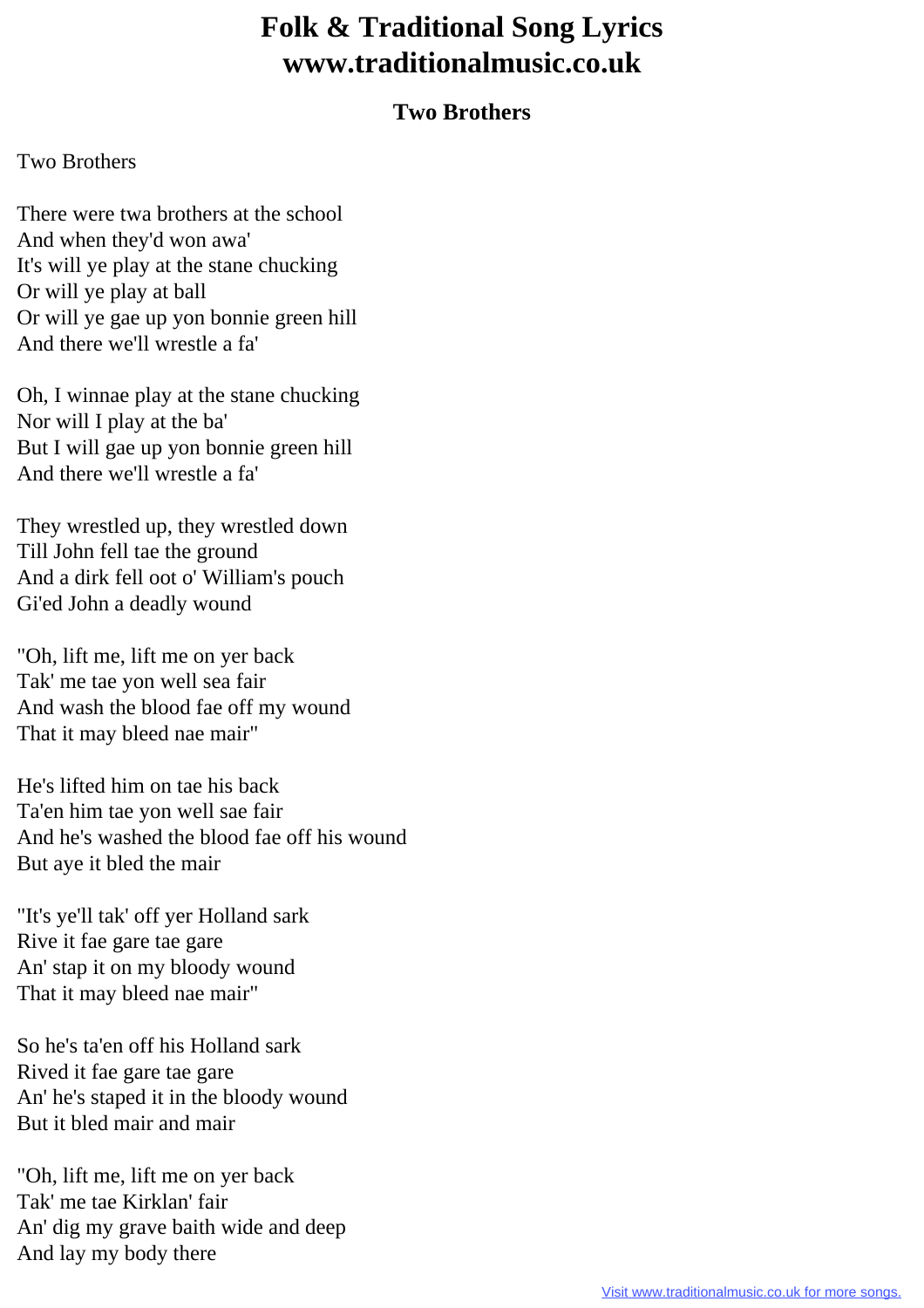## **Folk & Traditional Song Lyrics www.traditionalmusic.co.uk**

## **Two Brothers**

## Two Brothers

There were twa brothers at the school And when they'd won awa' It's will ye play at the stane chucking Or will ye play at ball Or will ye gae up yon bonnie green hill And there we'll wrestle a fa'

Oh, I winnae play at the stane chucking Nor will I play at the ba' But I will gae up yon bonnie green hill And there we'll wrestle a fa'

They wrestled up, they wrestled down Till John fell tae the ground And a dirk fell oot o' William's pouch Gi'ed John a deadly wound

"Oh, lift me, lift me on yer back Tak' me tae yon well sea fair And wash the blood fae off my wound That it may bleed nae mair"

He's lifted him on tae his back Ta'en him tae yon well sae fair And he's washed the blood fae off his wound But aye it bled the mair

"It's ye'll tak' off yer Holland sark Rive it fae gare tae gare An' stap it on my bloody wound That it may bleed nae mair"

So he's ta'en off his Holland sark Rived it fae gare tae gare An' he's staped it in the bloody wound But it bled mair and mair

"Oh, lift me, lift me on yer back Tak' me tae Kirklan' fair An' dig my grave baith wide and deep And lay my body there